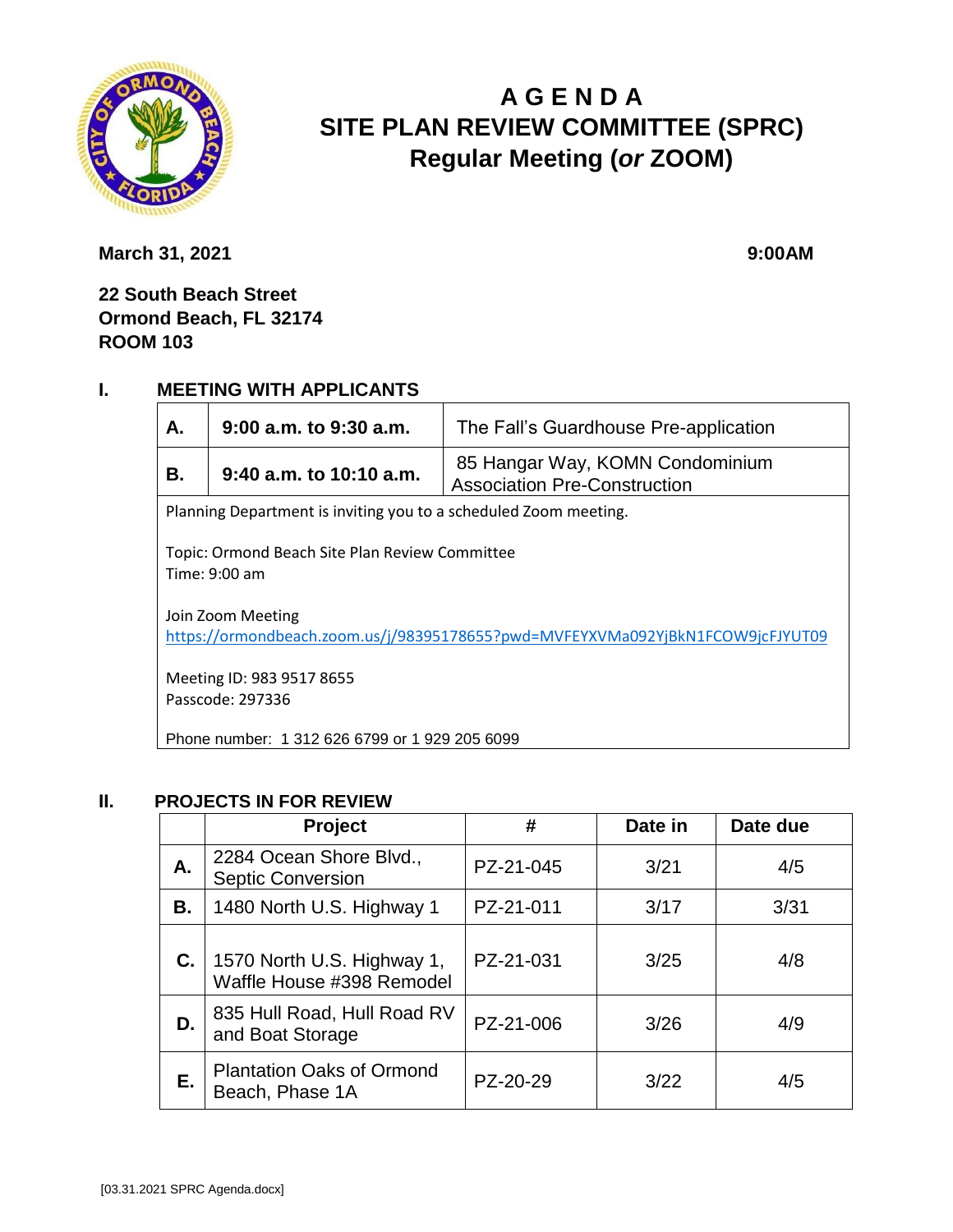

# **A G E N D A SITE PLAN REVIEW COMMITTEE (SPRC) Regular Meeting (***or* **ZOOM)**

**March 31, 2021** 9:00AM

**22 South Beach Street Ormond Beach, FL 32174 ROOM 103**

#### **I. MEETING WITH APPLICANTS**

| А.                                                                                                  | $9:00$ a.m. to $9:30$ a.m.                     | The Fall's Guardhouse Pre-application                                  |  |  |  |
|-----------------------------------------------------------------------------------------------------|------------------------------------------------|------------------------------------------------------------------------|--|--|--|
| В.                                                                                                  | $9:40$ a.m. to 10:10 a.m.                      | 85 Hangar Way, KOMN Condominium<br><b>Association Pre-Construction</b> |  |  |  |
| Planning Department is inviting you to a scheduled Zoom meeting.                                    |                                                |                                                                        |  |  |  |
| Topic: Ormond Beach Site Plan Review Committee<br>Time: 9:00 am                                     |                                                |                                                                        |  |  |  |
| Join Zoom Meeting<br>https://ormondbeach.zoom.us/j/98395178655?pwd=MVFEYXVMa092YjBkN1FCOW9jcFJYUT09 |                                                |                                                                        |  |  |  |
| Meeting ID: 983 9517 8655<br>Passcode: 297336                                                       |                                                |                                                                        |  |  |  |
|                                                                                                     | Phone number: 1 312 626 6799 or 1 929 205 6099 |                                                                        |  |  |  |

#### **II. PROJECTS IN FOR REVIEW**

|    | <b>Project</b>                                          | #         | Date in | Date due |
|----|---------------------------------------------------------|-----------|---------|----------|
| А. | 2284 Ocean Shore Blvd.,<br><b>Septic Conversion</b>     | PZ-21-045 | 3/21    | 4/5      |
| В. | 1480 North U.S. Highway 1                               | PZ-21-011 | 3/17    | 3/31     |
| C. | 1570 North U.S. Highway 1,<br>Waffle House #398 Remodel | PZ-21-031 | 3/25    | 4/8      |
| D. | 835 Hull Road, Hull Road RV<br>and Boat Storage         | PZ-21-006 | 3/26    | 4/9      |
| Е. | <b>Plantation Oaks of Ormond</b><br>Beach, Phase 1A     | PZ-20-29  | 3/22    | 4/5      |